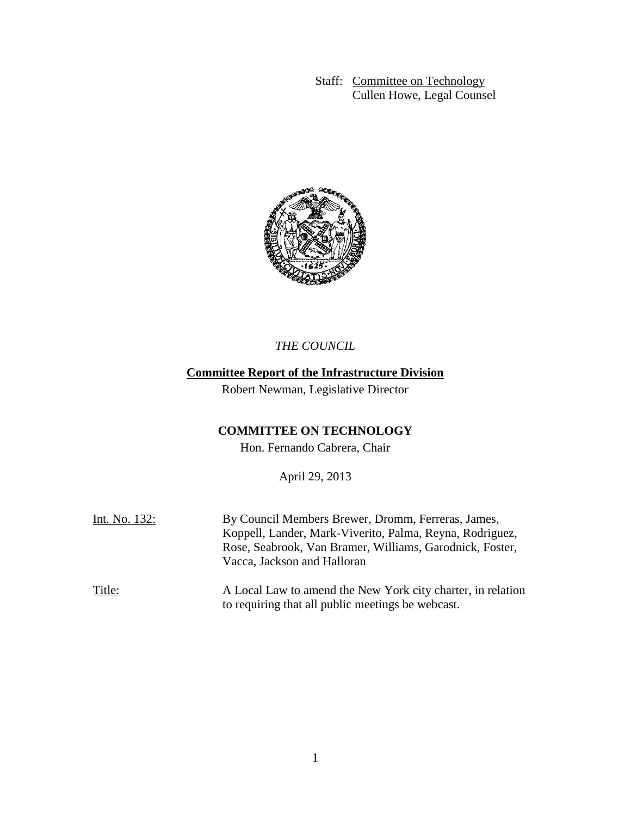Staff: Committee on Technology Cullen Howe, Legal Counsel



*THE COUNCIL*

## **Committee Report of the Infrastructure Division**

Robert Newman, Legislative Director

# **COMMITTEE ON TECHNOLOGY**

Hon. Fernando Cabrera, Chair

April 29, 2013

| Int. No. 132: | By Council Members Brewer, Dromm, Ferreras, James,<br>Koppell, Lander, Mark-Viverito, Palma, Reyna, Rodriguez,<br>Rose, Seabrook, Van Bramer, Williams, Garodnick, Foster,<br>Vacca, Jackson and Halloran |
|---------------|-----------------------------------------------------------------------------------------------------------------------------------------------------------------------------------------------------------|
| Title:        | A Local Law to amend the New York city charter, in relation<br>to requiring that all public meetings be webcast.                                                                                          |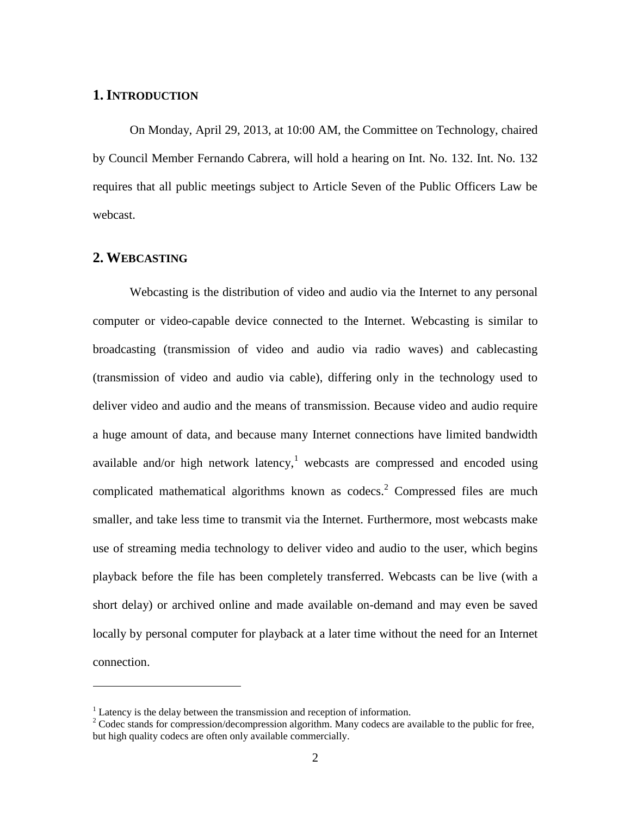## **1.INTRODUCTION**

On Monday, April 29, 2013, at 10:00 AM, the Committee on Technology, chaired by Council Member Fernando Cabrera, will hold a hearing on Int. No. 132. Int. No. 132 requires that all public meetings subject to Article Seven of the Public Officers Law be webcast.

#### **2. WEBCASTING**

 $\overline{a}$ 

Webcasting is the distribution of video and audio via the Internet to any personal computer or video-capable device connected to the Internet. Webcasting is similar to broadcasting (transmission of video and audio via radio waves) and cablecasting (transmission of video and audio via cable), differing only in the technology used to deliver video and audio and the means of transmission. Because video and audio require a huge amount of data, and because many Internet connections have limited bandwidth available and/or high network latency, we becasts are compressed and encoded using complicated mathematical algorithms known as codecs. <sup>2</sup> Compressed files are much smaller, and take less time to transmit via the Internet. Furthermore, most webcasts make use of streaming media technology to deliver video and audio to the user, which begins playback before the file has been completely transferred. Webcasts can be live (with a short delay) or archived online and made available on-demand and may even be saved locally by personal computer for playback at a later time without the need for an Internet connection.

 $1$  Latency is the delay between the transmission and reception of information.

<sup>&</sup>lt;sup>2</sup> Codec stands for compression/decompression algorithm. Many codecs are available to the public for free, but high quality codecs are often only available commercially.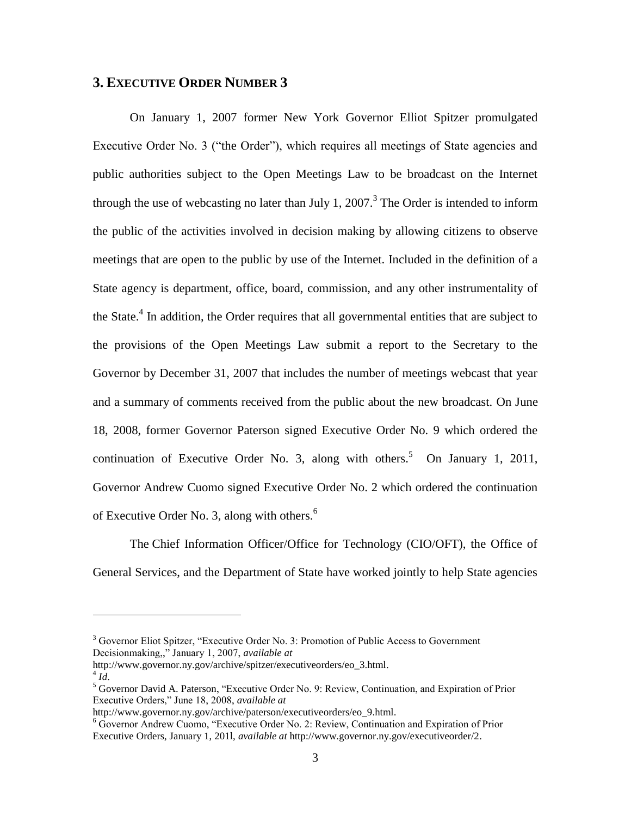### **3. EXECUTIVE ORDER NUMBER 3**

On January 1, 2007 former New York Governor Elliot Spitzer promulgated Executive Order No. 3 ("the Order"), which requires all meetings of State agencies and public authorities subject to the Open Meetings Law to be broadcast on the Internet through the use of webcasting no later than July 1, 2007.<sup>3</sup> The Order is intended to inform the public of the activities involved in decision making by allowing citizens to observe meetings that are open to the public by use of the Internet. Included in the definition of a State agency is department, office, board, commission, and any other instrumentality of the State.<sup>4</sup> In addition, the Order requires that all governmental entities that are subject to the provisions of the Open Meetings Law submit a report to the Secretary to the Governor by December 31, 2007 that includes the number of meetings webcast that year and a summary of comments received from the public about the new broadcast. On June 18, 2008, former Governor Paterson signed Executive Order No. 9 which ordered the continuation of Executive Order No. 3, along with others.<sup>5</sup> On January 1, 2011, Governor Andrew Cuomo signed Executive Order No. 2 which ordered the continuation of Executive Order No. 3, along with others. $<sup>6</sup>$ </sup>

The Chief Information Officer/Office for Technology (CIO/OFT), the Office of General Services, and the Department of State have worked jointly to help State agencies

 $\overline{a}$ 

<sup>&</sup>lt;sup>3</sup> Governor Eliot Spitzer, "Executive Order No. 3: Promotion of Public Access to Government Decisionmaking,," January 1, 2007, *available at*

http://www.governor.ny.gov/archive/spitzer/executiveorders/eo\_3.html.  $^{4}$ *Id*.

<sup>5</sup> Governor David A. Paterson, "Executive Order No. 9: Review, Continuation, and Expiration of Prior Executive Orders," June 18, 2008, *available at*

http://www.governor.ny.gov/archive/paterson/executiveorders/eo\_9.html.

<sup>6</sup> Governor Andrew Cuomo, "Executive Order No. 2: Review, Continuation and Expiration of Prior Executive Orders, January 1, 201l, *available at* http://www.governor.ny.gov/executiveorder/2.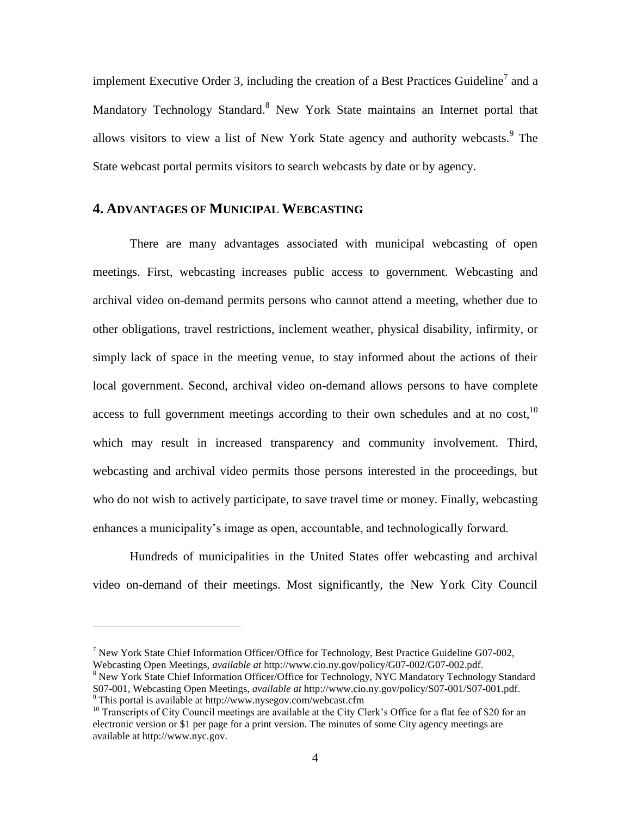implement Executive Order 3, including the creation of a Best Practices Guideline<sup>7</sup> and a Mandatory Technology Standard.<sup>8</sup> New York State maintains an Internet portal that allows visitors to view a list of New York State agency and authority webcasts.<sup>9</sup> The State webcast portal permits visitors to search webcasts by date or by agency.

## **4. ADVANTAGES OF MUNICIPAL WEBCASTING**

There are many advantages associated with municipal webcasting of open meetings. First, webcasting increases public access to government. Webcasting and archival video on-demand permits persons who cannot attend a meeting, whether due to other obligations, travel restrictions, inclement weather, physical disability, infirmity, or simply lack of space in the meeting venue, to stay informed about the actions of their local government. Second, archival video on-demand allows persons to have complete access to full government meetings according to their own schedules and at no cost,  $10$ which may result in increased transparency and community involvement. Third, webcasting and archival video permits those persons interested in the proceedings, but who do not wish to actively participate, to save travel time or money. Finally, webcasting enhances a municipality's image as open, accountable, and technologically forward.

Hundreds of municipalities in the United States offer webcasting and archival video on-demand of their meetings. Most significantly, the New York City Council

 $\overline{a}$ 

<sup>&</sup>lt;sup>7</sup> New York State Chief Information Officer/Office for Technology, Best Practice Guideline G07-002, Webcasting Open Meetings, *available at* http://www.cio.ny.gov/policy/G07-002/G07-002.pdf.

<sup>&</sup>lt;sup>8</sup> New York State Chief Information Officer/Office for Technology, NYC Mandatory Technology Standard S07-001, Webcasting Open Meetings, *available at* http://www.cio.ny.gov/policy/S07-001/S07-001.pdf. <sup>9</sup> This portal is available at http://www.nysegov.com/webcast.cfm

<sup>&</sup>lt;sup>10</sup> Transcripts of City Council meetings are available at the City Clerk's Office for a flat fee of \$20 for an electronic version or \$1 per page for a print version. The minutes of some City agency meetings are available at http://www.nyc.gov.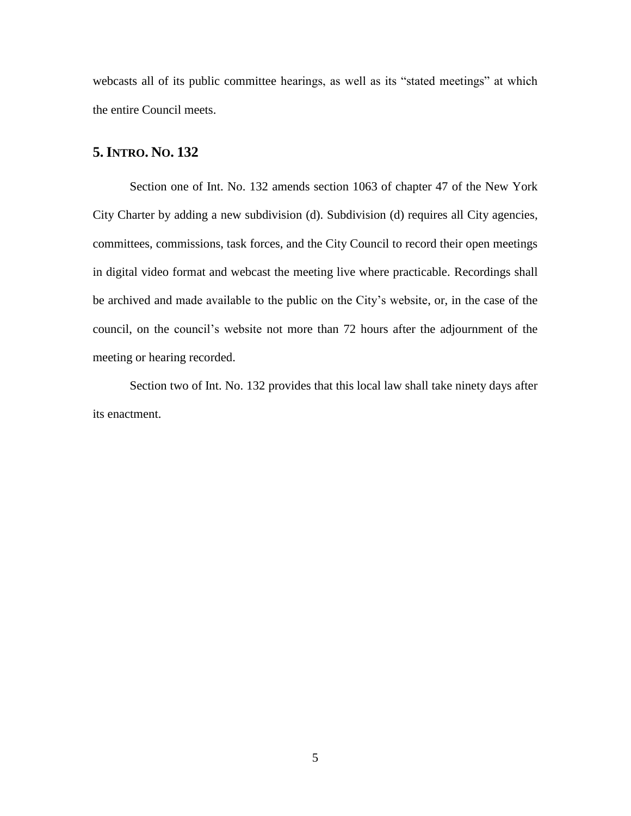webcasts all of its public committee hearings, as well as its "stated meetings" at which the entire Council meets.

### **5.INTRO. NO. 132**

Section one of Int. No. 132 amends section 1063 of chapter 47 of the New York City Charter by adding a new subdivision (d). Subdivision (d) requires all City agencies, committees, commissions, task forces, and the City Council to record their open meetings in digital video format and webcast the meeting live where practicable. Recordings shall be archived and made available to the public on the City's website, or, in the case of the council, on the council's website not more than 72 hours after the adjournment of the meeting or hearing recorded.

Section two of Int. No. 132 provides that this local law shall take ninety days after its enactment.